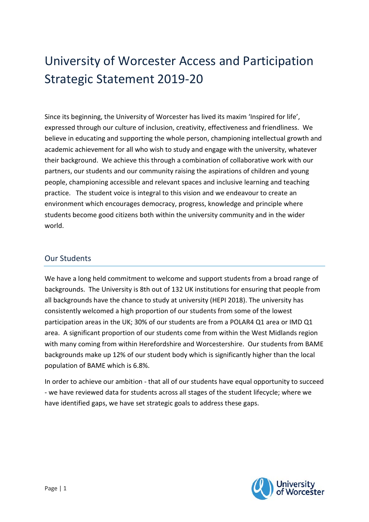# University of Worcester Access and Participation Strategic Statement 2019-20

Since its beginning, the University of Worcester has lived its maxim 'Inspired for life', expressed through our culture of inclusion, creativity, effectiveness and friendliness. We believe in educating and supporting the whole person, championing intellectual growth and academic achievement for all who wish to study and engage with the university, whatever their background. We achieve this through a combination of collaborative work with our partners, our students and our community raising the aspirations of children and young people, championing accessible and relevant spaces and inclusive learning and teaching practice. The student voice is integral to this vision and we endeavour to create an environment which encourages democracy, progress, knowledge and principle where students become good citizens both within the university community and in the wider world.

### Our Students

We have a long held commitment to welcome and support students from a broad range of backgrounds. The University is 8th out of 132 UK institutions for ensuring that people from all backgrounds have the chance to study at university (HEPI 2018). The university has consistently welcomed a high proportion of our students from some of the lowest participation areas in the UK; 30% of our students are from a POLAR4 Q1 area or IMD Q1 area. A significant proportion of our students come from within the West Midlands region with many coming from within Herefordshire and Worcestershire. Our students from BAME backgrounds make up 12% of our student body which is significantly higher than the local population of BAME which is 6.8%.

In order to achieve our ambition - that all of our students have equal opportunity to succeed - we have reviewed data for students across all stages of the student lifecycle; where we have identified gaps, we have set strategic goals to address these gaps.

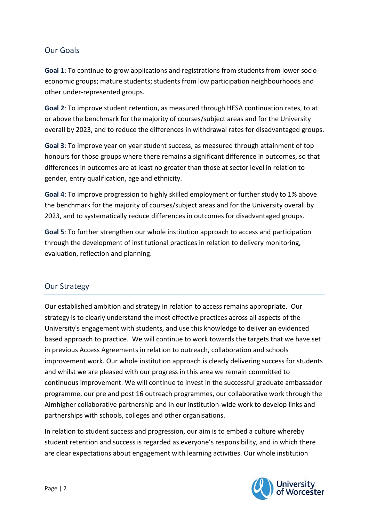## Our Goals

**Goal 1**: To continue to grow applications and registrations from students from lower socioeconomic groups; mature students; students from low participation neighbourhoods and other under-represented groups.

**Goal 2**: To improve student retention, as measured through HESA continuation rates, to at or above the benchmark for the majority of courses/subject areas and for the University overall by 2023, and to reduce the differences in withdrawal rates for disadvantaged groups.

**Goal 3**: To improve year on year student success, as measured through attainment of top honours for those groups where there remains a significant difference in outcomes, so that differences in outcomes are at least no greater than those at sector level in relation to gender, entry qualification, age and ethnicity.

**Goal 4**: To improve progression to highly skilled employment or further study to 1% above the benchmark for the majority of courses/subject areas and for the University overall by 2023, and to systematically reduce differences in outcomes for disadvantaged groups.

**Goal 5**: To further strengthen our whole institution approach to access and participation through the development of institutional practices in relation to delivery monitoring, evaluation, reflection and planning.

## Our Strategy

Our established ambition and strategy in relation to access remains appropriate. Our strategy is to clearly understand the most effective practices across all aspects of the University's engagement with students, and use this knowledge to deliver an evidenced based approach to practice. We will continue to work towards the targets that we have set in previous Access Agreements in relation to outreach, collaboration and schools improvement work. Our whole institution approach is clearly delivering success for students and whilst we are pleased with our progress in this area we remain committed to continuous improvement. We will continue to invest in the successful graduate ambassador programme, our pre and post 16 outreach programmes, our collaborative work through the Aimhigher collaborative partnership and in our institution-wide work to develop links and partnerships with schools, colleges and other organisations.

In relation to student success and progression, our aim is to embed a culture whereby student retention and success is regarded as everyone's responsibility, and in which there are clear expectations about engagement with learning activities. Our whole institution